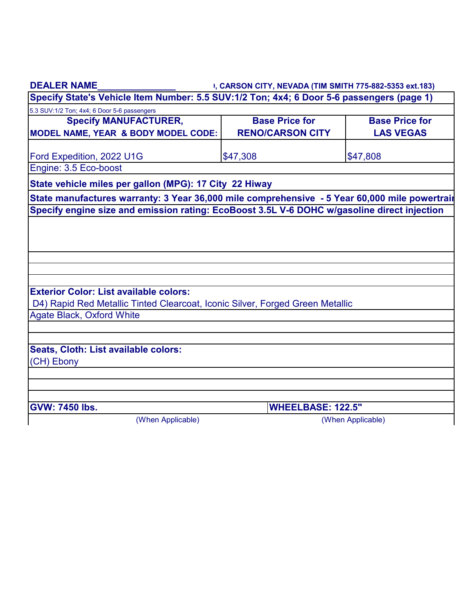| <b>DEALER NAME</b>                                                                            | I, CARSON CITY, NEVADA (TIM SMITH 775-882-5353 ext.183) |                       |  |  |
|-----------------------------------------------------------------------------------------------|---------------------------------------------------------|-----------------------|--|--|
| Specify State's Vehicle Item Number: 5.5 SUV:1/2 Ton; 4x4; 6 Door 5-6 passengers (page 1)     |                                                         |                       |  |  |
| 5.3 SUV:1/2 Ton; 4x4; 6 Door 5-6 passengers                                                   |                                                         |                       |  |  |
| <b>Specify MANUFACTURER,</b>                                                                  | <b>Base Price for</b>                                   | <b>Base Price for</b> |  |  |
| <b>MODEL NAME, YEAR &amp; BODY MODEL CODE:</b>                                                | <b>RENO/CARSON CITY</b>                                 | <b>LAS VEGAS</b>      |  |  |
| Ford Expedition, 2022 U1G                                                                     | \$47,308                                                | \$47,808              |  |  |
| Engine: 3.5 Eco-boost                                                                         |                                                         |                       |  |  |
| State vehicle miles per gallon (MPG): 17 City 22 Hiway                                        |                                                         |                       |  |  |
| State manufactures warranty: 3 Year 36,000 mile comprehensive - 5 Year 60,000 mile powertrair |                                                         |                       |  |  |
| Specify engine size and emission rating: EcoBoost 3.5L V-6 DOHC w/gasoline direct injection   |                                                         |                       |  |  |
|                                                                                               |                                                         |                       |  |  |
|                                                                                               |                                                         |                       |  |  |
|                                                                                               |                                                         |                       |  |  |
|                                                                                               |                                                         |                       |  |  |
|                                                                                               |                                                         |                       |  |  |
| <b>Exterior Color: List available colors:</b>                                                 |                                                         |                       |  |  |
| D4) Rapid Red Metallic Tinted Clearcoat, Iconic Silver, Forged Green Metallic                 |                                                         |                       |  |  |
| <b>Agate Black, Oxford White</b>                                                              |                                                         |                       |  |  |
|                                                                                               |                                                         |                       |  |  |
|                                                                                               |                                                         |                       |  |  |
| Seats, Cloth: List available colors:                                                          |                                                         |                       |  |  |
| (CH) Ebony                                                                                    |                                                         |                       |  |  |
|                                                                                               |                                                         |                       |  |  |
|                                                                                               |                                                         |                       |  |  |
| <b>GVW: 7450 lbs.</b>                                                                         | <b>WHEELBASE: 122.5"</b>                                |                       |  |  |
| (When Applicable)                                                                             |                                                         | (When Applicable)     |  |  |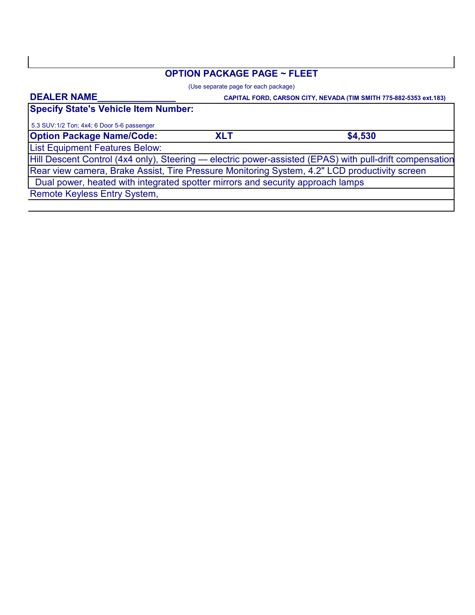## **OPTION PACKAGE PAGE ~ FLEET**

(Use separate page for each package)

#### **DEALER NAME\_\_\_\_\_\_\_\_\_\_\_\_\_\_\_**

 **CAPITAL FORD, CARSON CITY, NEVADA (TIM SMITH 775-882-5353 ext.183)**

**Specify State's Vehicle Item Number:**

**Option Package Name/Code:** 5.3 SUV:1/2 Ton; 4x4; 6 Door 5-6 passenger

**XLT \$4,530**

List Equipment Features Below:

Rear view camera, Brake Assist, Tire Pressure Monitoring System, 4.2" LCD productivity screen Hill Descent Control (4x4 only), Steering — electric power-assisted (EPAS) with pull-drift compensation

Dual power, heated with integrated spotter mirrors and security approach lamps

Remote Keyless Entry System,